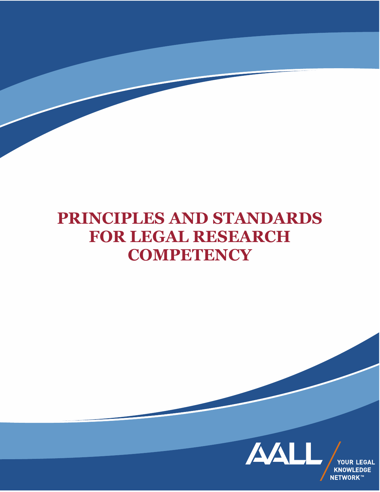# **PRINCIPLES AND STANDARDS FOR LEGAL RESEARCH COMPETENCY**

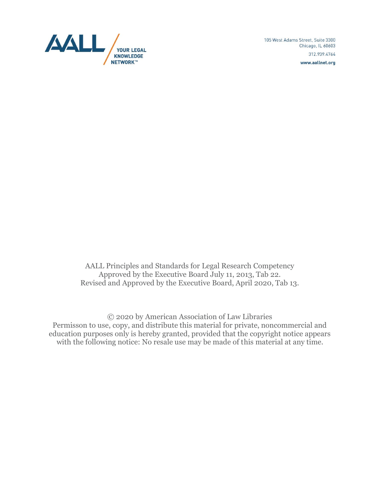

105 West Adams Street, Suite 3300 Chicago, IL 60603 312.939.4764 www.aallnet.org

AALL Principles and Standards for Legal Research Competency Approved by the Executive Board July 11, 2013, Tab 22. Revised and Approved by the Executive Board, April 2020, Tab 13.

© 2020 by American Association of Law Libraries Permisson to use, copy, and distribute this material for private, noncommercial and education purposes only is hereby granted, provided that the copyright notice appears with the following notice: No resale use may be made of this material at any time.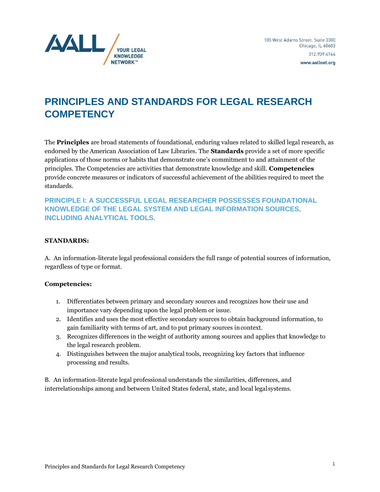

# **PRINCIPLES AND STANDARDS FOR LEGAL RESEARCH COMPETENCY**

The **Principles** are broad statements of foundational, enduring values related to skilled legal research, as endorsed by the American Association of Law Libraries. The **Standards** provide a set of more specific applications of those norms or habits that demonstrate one's commitment to and attainment of the principles. The Competencies are activities that demonstrate knowledge and skill. **Competencies** provide concrete measures or indicators of successful achievement of the abilities required to meet the standards.

**PRINCIPLE I: A SUCCESSFUL LEGAL RESEARCHER POSSESSES FOUNDATIONAL KNOWLEDGE OF THE LEGAL SYSTEM AND LEGAL INFORMATION SOURCES, INCLUDING ANALYTICAL TOOLS.**

#### **STANDARDS:**

A. An information-literate legal professional considers the full range of potential sources of information, regardless of type or format.

#### **Competencies:**

- 1. Differentiates between primary and secondary sources and recognizes how their use and importance vary depending upon the legal problem or issue.
- 2. Identifies and uses the most effective secondary sources to obtain background information, to gain familiarity with terms of art, and to put primary sources incontext.
- 3. Recognizes differences in the weight of authority among sources and applies that knowledge to the legal research problem.
- 4. Distinguishes between the major analytical tools, recognizing key factors that influence processing and results.

B. An information-literate legal professional understands the similarities, differences, and interrelationships among and between United States federal, state, and local legalsystems.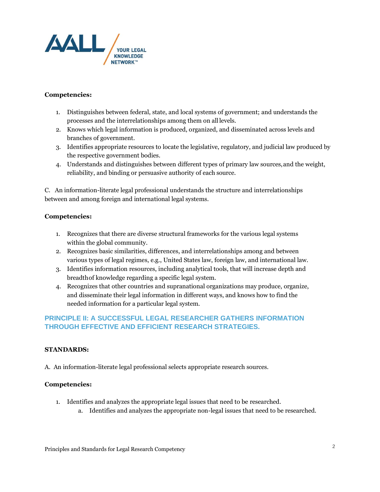

- 1. Distinguishes between federal, state, and local systems of government; and understands the processes and the interrelationships among them on all levels.
- 2. Knows which legal information is produced, organized, and disseminated across levels and branches of government.
- 3. Identifies appropriate resources to locate the legislative, regulatory, and judicial law produced by the respective government bodies.
- 4. Understands and distinguishes between different types of primary law sources,and the weight, reliability, and binding or persuasive authority of each source.

C. An information-literate legal professional understands the structure and interrelationships between and among foreign and international legal systems.

#### **Competencies:**

- 1. Recognizes that there are diverse structural frameworks for the various legal systems within the global community.
- 2. Recognizes basic similarities, differences, and interrelationships among and between various types of legal regimes, e.g., United States law, foreign law, and international law.
- 3. Identifies information resources, including analytical tools, that will increase depth and breadthof knowledge regarding a specific legal system.
- 4. Recognizes that other countries and supranational organizations may produce, organize, and disseminate their legal information in different ways, and knows how to find the needed information for a particular legal system.

# **PRINCIPLE II: A SUCCESSFUL LEGAL RESEARCHER GATHERS INFORMATION THROUGH EFFECTIVE AND EFFICIENT RESEARCH STRATEGIES.**

### **STANDARDS:**

A. An information-literate legal professional selects appropriate research sources.

- 1. Identifies and analyzes the appropriate legal issues that need to be researched.
	- a. Identifies and analyzes the appropriate non-legal issues that need to be researched.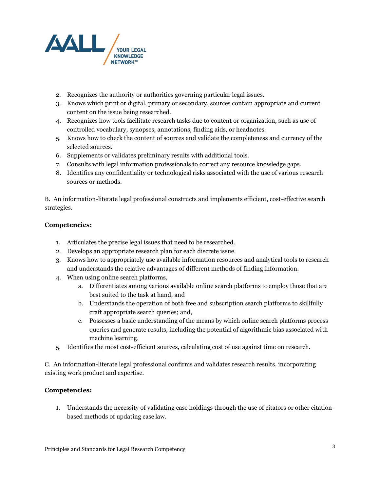

- 2. Recognizes the authority or authorities governing particular legal issues.
- 3. Knows which print or digital, primary or secondary, sources contain appropriate and current content on the issue being researched.
- 4. Recognizes how tools facilitate research tasks due to content or organization, such as use of controlled vocabulary, synopses, annotations, finding aids, or headnotes.
- 5. Knows how to check the content of sources and validate the completeness and currency of the selected sources.
- 6. Supplements or validates preliminary results with additional tools.
- 7. Consults with legal information professionals to correct any resource knowledge gaps.
- 8. Identifies any confidentiality or technological risks associated with the use of various research sources or methods.

B. An information-literate legal professional constructs and implements efficient, cost-effective search strategies.

#### **Competencies:**

- 1. Articulates the precise legal issues that need to be researched.
- 2. Develops an appropriate research plan for each discrete issue.
- 3. Knows how to appropriately use available information resources and analytical tools to research and understands the relative advantages of different methods of finding information.
- 4. When using online search platforms,
	- a. Differentiates among various available online search platforms to employ those that are best suited to the task at hand, and
	- b. Understands the operation of both free and subscription search platforms to skillfully craft appropriate search queries; and,
	- c. Possesses a basic understanding of the means by which online search platforms process queries and generate results, including the potential of algorithmic bias associated with machine learning.
- 5. Identifies the most cost-efficient sources, calculating cost of use against time on research.

C. An information-literate legal professional confirms and validates research results, incorporating existing work product and expertise.

#### **Competencies:**

1. Understands the necessity of validating case holdings through the use of citators or other citationbased methods of updating case law.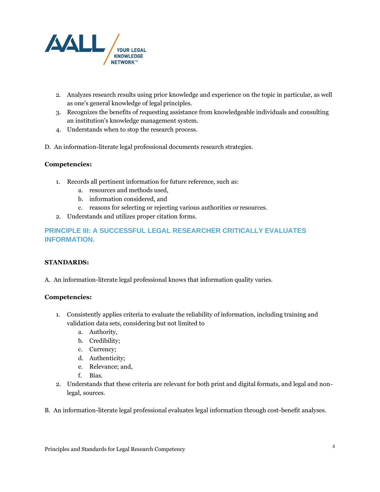

- 2. Analyzes research results using prior knowledge and experience on the topic in particular, as well as one's general knowledge of legal principles.
- 3. Recognizes the benefits of requesting assistance from knowledgeable individuals and consulting an institution's knowledge management system.
- 4. Understands when to stop the research process.
- D. An information-literate legal professional documents research strategies.

- 1. Records all pertinent information for future reference, such as:
	- a. resources and methods used,
	- b. information considered, and
	- c. reasons for selecting or rejecting various authorities or resources.
- 2. Understands and utilizes proper citation forms.

# **PRINCIPLE III: A SUCCESSFUL LEGAL RESEARCHER CRITICALLY EVALUATES INFORMATION.**

#### **STANDARDS:**

A. An information-literate legal professional knows that information quality varies.

#### **Competencies:**

- 1. Consistently applies criteria to evaluate the reliability of information, including training and validation data sets, considering but not limited to
	- a. Authority,
	- b. Credibility;
	- c. Currency;
	- d. Authenticity;
	- e. Relevance; and,
	- f. Bias.
- 2. Understands that these criteria are relevant for both print and digital formats, and legal and nonlegal, sources.

B. An information-literate legal professional evaluates legal information through cost-benefit analyses.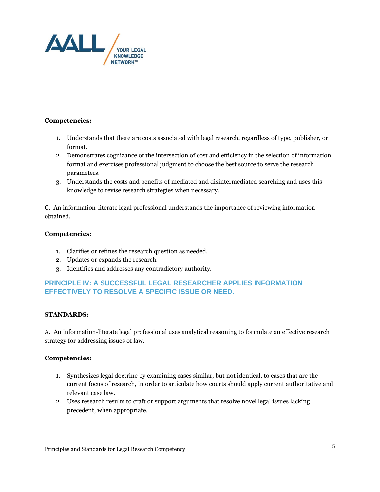

- 1. Understands that there are costs associated with legal research, regardless of type, publisher, or format.
- 2. Demonstrates cognizance of the intersection of cost and efficiency in the selection of information format and exercises professional judgment to choose the best source to serve the research parameters.
- 3. Understands the costs and benefits of mediated and disintermediated searching and uses this knowledge to revise research strategies when necessary.

C. An information-literate legal professional understands the importance of reviewing information obtained.

#### **Competencies:**

- 1. Clarifies or refines the research question as needed.
- 2. Updates or expands the research.
- 3. Identifies and addresses any contradictory authority.

# **PRINCIPLE IV: A SUCCESSFUL LEGAL RESEARCHER APPLIES INFORMATION EFFECTIVELY TO RESOLVE A SPECIFIC ISSUE OR NEED.**

#### **STANDARDS:**

A. An information-literate legal professional uses analytical reasoning to formulate an effective research strategy for addressing issues of law.

- 1. Synthesizes legal doctrine by examining cases similar, but not identical, to cases that are the current focus of research, in order to articulate how courts should apply current authoritative and relevant case law.
- 2. Uses research results to craft or support arguments that resolve novel legal issues lacking precedent, when appropriate.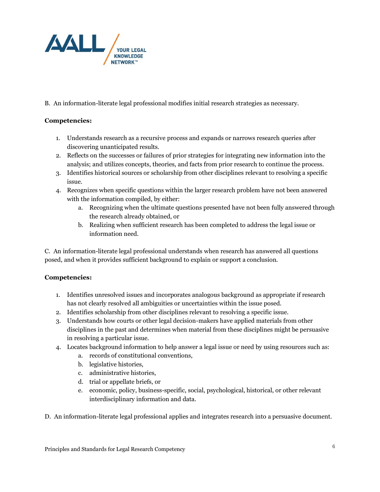

B. An information-literate legal professional modifies initial research strategies as necessary.

#### **Competencies:**

- 1. Understands research as a recursive process and expands or narrows research queries after discovering unanticipated results.
- 2. Reflects on the successes or failures of prior strategies for integrating new information into the analysis; and utilizes concepts, theories, and facts from prior research to continue the process.
- 3. Identifies historical sources or scholarship from other disciplines relevant to resolving a specific issue.
- 4. Recognizes when specific questions within the larger research problem have not been answered with the information compiled, by either:
	- a. Recognizing when the ultimate questions presented have not been fully answered through the research already obtained, or
	- b. Realizing when sufficient research has been completed to address the legal issue or information need.

C. An information-literate legal professional understands when research has answered all questions posed, and when it provides sufficient background to explain or support a conclusion.

- 1. Identifies unresolved issues and incorporates analogous background as appropriate if research has not clearly resolved all ambiguities or uncertainties within the issue posed.
- 2. Identifies scholarship from other disciplines relevant to resolving a specific issue.
- 3. Understands how courts or other legal decision-makers have applied materials from other disciplines in the past and determines when material from these disciplines might be persuasive in resolving a particular issue.
- 4. Locates background information to help answer a legal issue or need by using resources such as:
	- a. records of constitutional conventions,
	- b. legislative histories,
	- c. administrative histories,
	- d. trial or appellate briefs, or
	- e. economic, policy, business-specific, social, psychological, historical, or other relevant interdisciplinary information and data.
- D. An information-literate legal professional applies and integrates research into a persuasive document.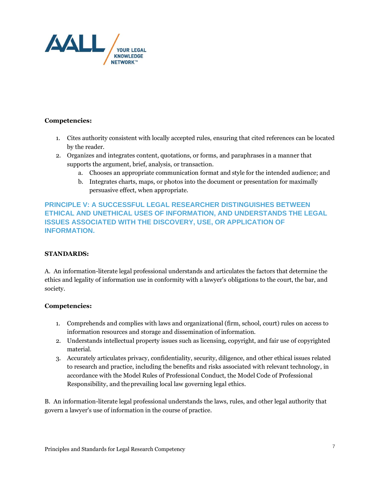

- 1. Cites authority consistent with locally accepted rules, ensuring that cited references can be located by the reader.
- 2. Organizes and integrates content, quotations, or forms, and paraphrases in a manner that supports the argument, brief, analysis, or transaction.
	- a. Chooses an appropriate communication format and style for the intended audience; and
	- b. Integrates charts, maps, or photos into the document or presentation for maximally persuasive effect, when appropriate.

# **PRINCIPLE V: A SUCCESSFUL LEGAL RESEARCHER DISTINGUISHES BETWEEN ETHICAL AND UNETHICAL USES OF INFORMATION, AND UNDERSTANDS THE LEGAL ISSUES ASSOCIATED WITH THE DISCOVERY, USE, OR APPLICATION OF INFORMATION.**

#### **STANDARDS:**

A. An information-literate legal professional understands and articulates the factors that determine the ethics and legality of information use in conformity with a lawyer's obligations to the court, the bar, and society.

#### **Competencies:**

- 1. Comprehends and complies with laws and organizational (firm, school, court) rules on access to information resources and storage and dissemination of information.
- 2. Understands intellectual property issues such as licensing, copyright, and fair use of copyrighted material.
- 3. Accurately articulates privacy, confidentiality, security, diligence, and other ethical issues related to research and practice, including the benefits and risks associated with relevant technology, in accordance with the Model Rules of Professional Conduct, the Model Code of Professional Responsibility, and theprevailing local law governing legal ethics.

B. An information-literate legal professional understands the laws, rules, and other legal authority that govern a lawyer's use of information in the course of practice.